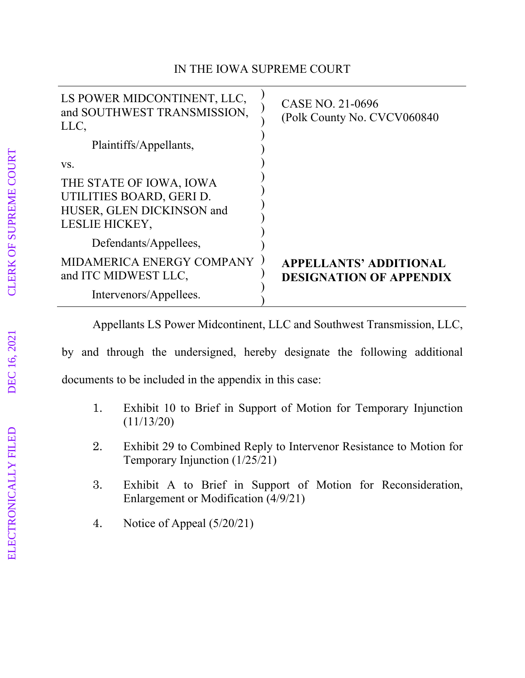## IN THE IOWA SUPREME COURT

| LS POWER MIDCONTINENT, LLC,<br>and SOUTHWEST TRANSMISSION,<br>LLC,                                 | CASE NO. 21-0696<br>(Polk County No. CVCV060840                 |
|----------------------------------------------------------------------------------------------------|-----------------------------------------------------------------|
| Plaintiffs/Appellants,                                                                             |                                                                 |
| VS.                                                                                                |                                                                 |
| THE STATE OF IOWA, IOWA<br>UTILITIES BOARD, GERI D.<br>HUSER, GLEN DICKINSON and<br>LESLIE HICKEY, |                                                                 |
| Defendants/Appellees,                                                                              |                                                                 |
| MIDAMERICA ENERGY COMPANY<br>and ITC MIDWEST LLC,                                                  | <b>APPELLANTS' ADDITIONAL</b><br><b>DESIGNATION OF APPENDIX</b> |
| Intervenors/Appellees.                                                                             |                                                                 |

Appellants LS Power Midcontinent, LLC and Southwest Transmission, LLC,

by and through the undersigned, hereby designate the following additional documents to be included in the appendix in this case:

- 1. Exhibit 10 to Brief in Support of Motion for Temporary Injunction (11/13/20)
- 2. Exhibit 29 to Combined Reply to Intervenor Resistance to Motion for Temporary Injunction (1/25/21)
- 3. Exhibit A to Brief in Support of Motion for Reconsideration, Enlargement or Modification (4/9/21)
- 4. Notice of Appeal (5/20/21)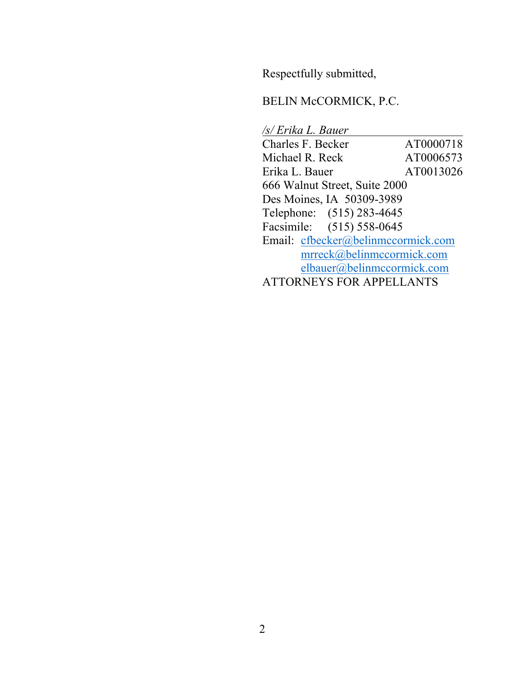Respectfully submitted,

## BELIN McCORMICK, P.C.

*/s/ Erika L. Bauer*  Charles F. Becker AT0000718 Michael R. Reck AT0006573 Erika L. Bauer AT0013026 666 Walnut Street, Suite 2000 Des Moines, IA 50309-3989 Telephone: (515) 283-4645 Facsimile: (515) 558-0645 Email: cfbecker@belinmccormick.com mrreck@belinmccormick.com elbauer@belinmccormick.com ATTORNEYS FOR APPELLANTS